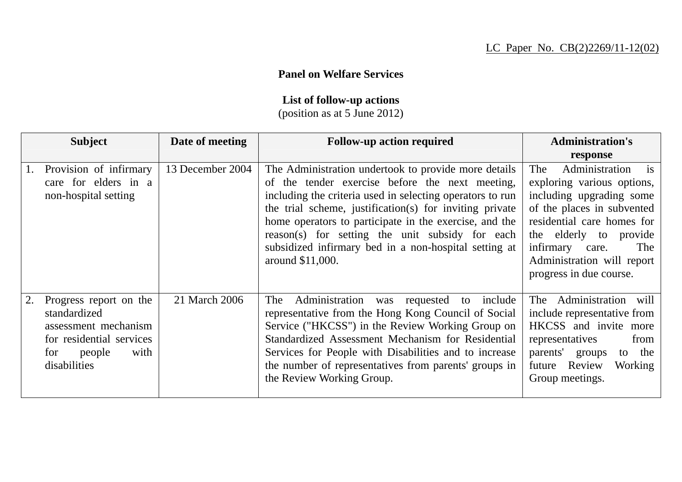## **Panel on Welfare Services**

## **List of follow-up actions**

(position as at 5 June 2012)

|    | <b>Subject</b>                                                                                                                      | Date of meeting  | <b>Follow-up action required</b>                                                                                                                                                                                                                                                                                                                                                                                          | <b>Administration's</b><br>response                                                                                                                                                                                                                                          |
|----|-------------------------------------------------------------------------------------------------------------------------------------|------------------|---------------------------------------------------------------------------------------------------------------------------------------------------------------------------------------------------------------------------------------------------------------------------------------------------------------------------------------------------------------------------------------------------------------------------|------------------------------------------------------------------------------------------------------------------------------------------------------------------------------------------------------------------------------------------------------------------------------|
| 1. | Provision of infirmary<br>care for elders in a<br>non-hospital setting                                                              | 13 December 2004 | The Administration undertook to provide more details<br>of the tender exercise before the next meeting,<br>including the criteria used in selecting operators to run<br>the trial scheme, justification(s) for inviting private<br>home operators to participate in the exercise, and the<br>reason(s) for setting the unit subsidy for each<br>subsidized infirmary bed in a non-hospital setting at<br>around \$11,000. | Administration<br>The<br>$\frac{1}{1}$<br>exploring various options,<br>including upgrading some<br>of the places in subvented<br>residential care homes for<br>the elderly to<br>provide<br>infirmary care.<br>The<br>Administration will report<br>progress in due course. |
|    | Progress report on the<br>standardized<br>assessment mechanism<br>for residential services<br>people<br>with<br>for<br>disabilities | 21 March 2006    | Administration was requested to<br>The<br>include<br>representative from the Hong Kong Council of Social<br>Service ("HKCSS") in the Review Working Group on<br>Standardized Assessment Mechanism for Residential<br>Services for People with Disabilities and to increase<br>the number of representatives from parents' groups in<br>the Review Working Group.                                                          | The Administration will<br>include representative from<br>HKCSS and invite more<br>representatives<br>from<br>parents'<br>groups<br>to the<br>Review<br><b>Working</b><br>future<br>Group meetings.                                                                          |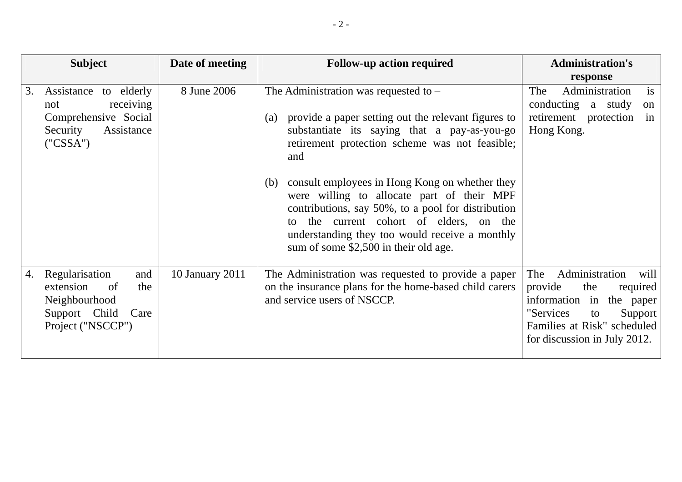|    | <b>Subject</b>                                                                                                                                | Date of meeting | <b>Follow-up action required</b>                                                                                                                                                                                                                                                                                                                                                                                                                                                                                  | <b>Administration's</b><br>response                                                                                                                                                     |
|----|-----------------------------------------------------------------------------------------------------------------------------------------------|-----------------|-------------------------------------------------------------------------------------------------------------------------------------------------------------------------------------------------------------------------------------------------------------------------------------------------------------------------------------------------------------------------------------------------------------------------------------------------------------------------------------------------------------------|-----------------------------------------------------------------------------------------------------------------------------------------------------------------------------------------|
| 3. | to elderly<br>Assistance<br>receiving<br>not<br>Comprehensive Social<br>Assistance<br>Security<br>$(^{\prime\prime}$ CSSA $^{\prime\prime}$ ) | 8 June 2006     | The Administration was requested to $-$<br>provide a paper setting out the relevant figures to<br>(a)<br>substantiate its saying that a pay-as-you-go<br>retirement protection scheme was not feasible;<br>and<br>consult employees in Hong Kong on whether they<br>(b)<br>were willing to allocate part of their MPF<br>contributions, say 50%, to a pool for distribution<br>to the current cohort of elders, on the<br>understanding they too would receive a monthly<br>sum of some \$2,500 in their old age. | is<br>Administration<br>The<br>conducting a study<br>on<br>retirement protection<br>in<br>Hong Kong.                                                                                    |
| 4. | Regularisation<br>and<br>the<br>extension<br>of<br>Neighbourhood<br>Support Child<br>Care<br>Project ("NSCCP")                                | 10 January 2011 | The Administration was requested to provide a paper<br>on the insurance plans for the home-based child carers<br>and service users of NSCCP.                                                                                                                                                                                                                                                                                                                                                                      | Administration<br>The<br>will<br>provide<br>the<br>required<br>information in<br>the paper<br>"Services<br>Support<br>to<br>Families at Risk" scheduled<br>for discussion in July 2012. |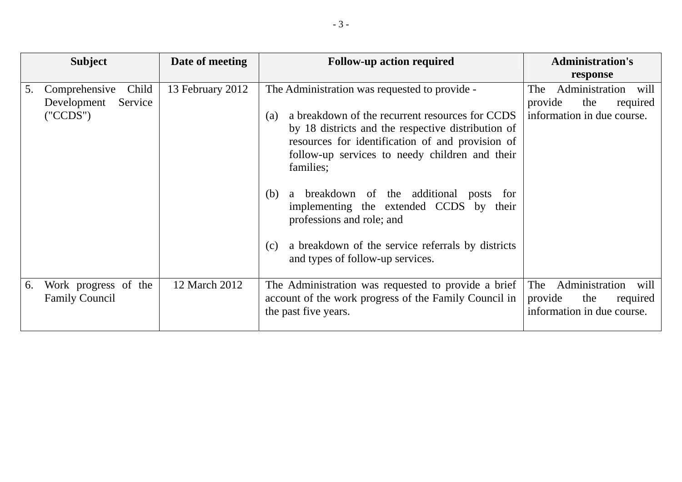|    | <b>Subject</b>                                               | Date of meeting  | <b>Follow-up action required</b>                                                                                                                                                                                                                                                                                                                                              | <b>Administration's</b><br>response                                                       |
|----|--------------------------------------------------------------|------------------|-------------------------------------------------------------------------------------------------------------------------------------------------------------------------------------------------------------------------------------------------------------------------------------------------------------------------------------------------------------------------------|-------------------------------------------------------------------------------------------|
| 5. | Comprehensive<br>Child<br>Development<br>Service<br>('CCDS") | 13 February 2012 | The Administration was requested to provide -<br>a breakdown of the recurrent resources for CCDS<br>(a)<br>by 18 districts and the respective distribution of<br>resources for identification of and provision of<br>follow-up services to needy children and their<br>families;<br>a breakdown of the additional posts for<br>(b)<br>implementing the extended CCDS by their | Administration<br>The<br>will<br>the<br>provide<br>required<br>information in due course. |
|    |                                                              |                  | professions and role; and<br>a breakdown of the service referrals by districts<br>(c)<br>and types of follow-up services.                                                                                                                                                                                                                                                     |                                                                                           |
| 6. | Work progress of the<br><b>Family Council</b>                | 12 March 2012    | The Administration was requested to provide a brief<br>account of the work progress of the Family Council in<br>the past five years.                                                                                                                                                                                                                                          | Administration<br>The<br>will<br>the<br>provide<br>required<br>information in due course. |